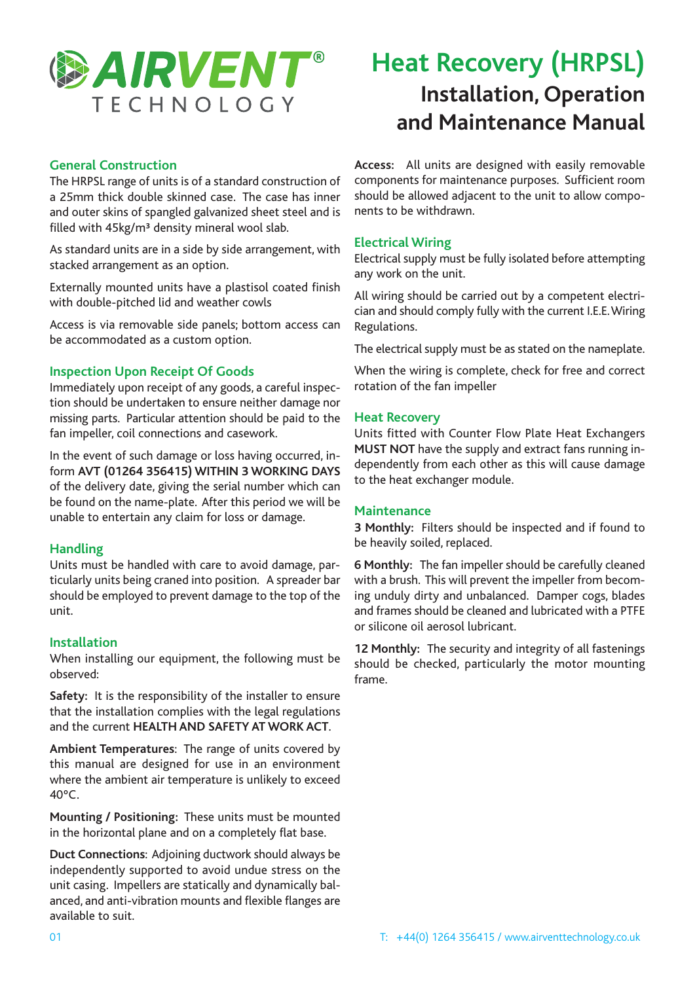

# **® Heat Recovery (HRPSL) Installation, Operation and Maintenance Manual**

### **General Construction**

The HRPSL range of units is of a standard construction of a 25mm thick double skinned case. The case has inner and outer skins of spangled galvanized sheet steel and is filled with 45kg/m<sup>3</sup> density mineral wool slab.

As standard units are in a side by side arrangement, with stacked arrangement as an option.

Externally mounted units have a plastisol coated finish with double-pitched lid and weather cowls

Access is via removable side panels; bottom access can be accommodated as a custom option.

### **Inspection Upon Receipt Of Goods**

Immediately upon receipt of any goods, a careful inspection should be undertaken to ensure neither damage nor missing parts. Particular attention should be paid to the fan impeller, coil connections and casework.

In the event of such damage or loss having occurred, inform **AVT (01264 356415) WITHIN 3 WORKING DAYS** of the delivery date, giving the serial number which can be found on the name-plate. After this period we will be unable to entertain any claim for loss or damage.

### **Handling**

Units must be handled with care to avoid damage, particularly units being craned into position. A spreader bar should be employed to prevent damage to the top of the unit.

### **Installation**

When installing our equipment, the following must be observed:

**Safety:** It is the responsibility of the installer to ensure that the installation complies with the legal regulations and the current **HEALTH AND SAFETY AT WORK ACT**.

**Ambient Temperatures**: The range of units covered by this manual are designed for use in an environment where the ambient air temperature is unlikely to exceed 40ºC.

**Mounting / Positioning:** These units must be mounted in the horizontal plane and on a completely flat base.

**Duct Connections**: Adjoining ductwork should always be independently supported to avoid undue stress on the unit casing. Impellers are statically and dynamically balanced, and anti-vibration mounts and flexible flanges are available to suit.

**Access:** All units are designed with easily removable components for maintenance purposes. Sufficient room should be allowed adjacent to the unit to allow components to be withdrawn.

### **Electrical Wiring**

Electrical supply must be fully isolated before attempting any work on the unit.

All wiring should be carried out by a competent electrician and should comply fully with the current I.E.E.Wiring Regulations.

The electrical supply must be as stated on the nameplate.

When the wiring is complete, check for free and correct rotation of the fan impeller

### **Heat Recovery**

Units fitted with Counter Flow Plate Heat Exchangers **MUST NOT** have the supply and extract fans running independently from each other as this will cause damage to the heat exchanger module.

### **Maintenance**

**3 Monthly:** Filters should be inspected and if found to be heavily soiled, replaced.

**6 Monthly:** The fan impeller should be carefully cleaned with a brush. This will prevent the impeller from becoming unduly dirty and unbalanced. Damper cogs, blades and frames should be cleaned and lubricated with a PTFE or silicone oil aerosol lubricant.

**12 Monthly:** The security and integrity of all fastenings should be checked, particularly the motor mounting frame.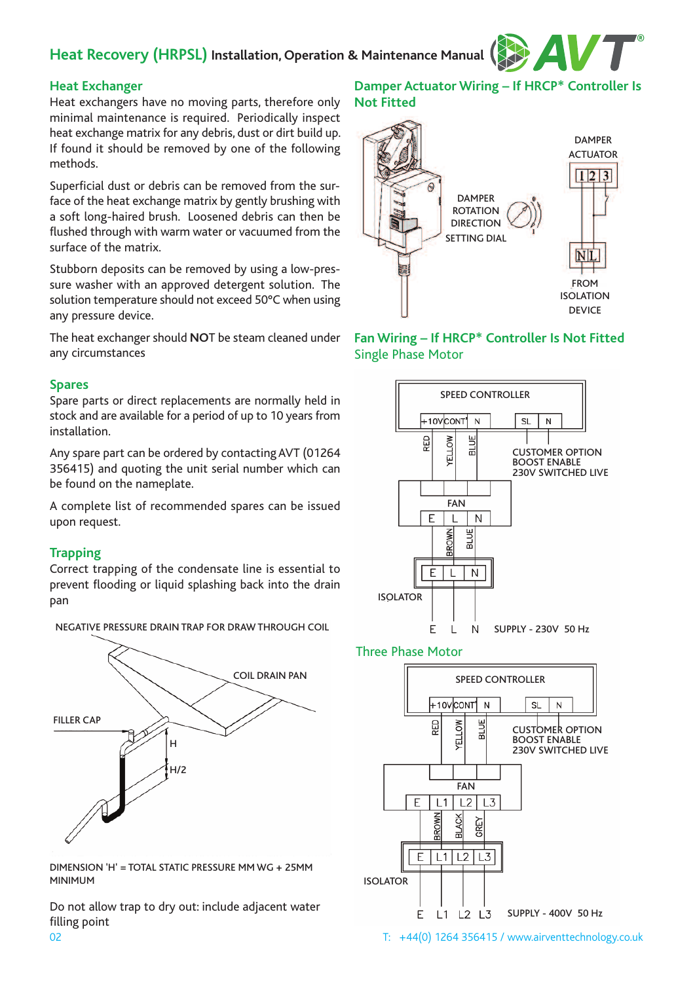## **Heat Recovery (HRPSL) Installation, Operation & Maintenance Manual**



### **Heat Exchanger**

Heat exchangers have no moving parts, therefore only minimal maintenance is required. Periodically inspect heat exchange matrix for any debris, dust or dirt build up. If found it should be removed by one of the following methods.

Superficial dust or debris can be removed from the surface of the heat exchange matrix by gently brushing with a soft long-haired brush. Loosened debris can then be flushed through with warm water or vacuumed from the surface of the matrix.

Stubborn deposits can be removed by using a low-pressure washer with an approved detergent solution. The solution temperature should not exceed 50°C when using any pressure device.

The heat exchanger should **NO**T be steam cleaned under any circumstances

### **Spares**

Spare parts or direct replacements are normally held in stock and are available for a period of up to 10 years from installation.

Any spare part can be ordered by contactingAVT (01264 356415) and quoting the unit serial number which can be found on the nameplate.

A complete list of recommended spares can be issued upon request.

### **Trapping**

Correct trapping of the condensate line is essential to prevent flooding or liquid splashing back into the drain pan



NEGATIVE PRESSURE DRAIN TRAP FOR DRAW THROUGH COIL

#### DIMENSION 'H' = TOTAL STATIC PRESSURE MM WG + 25MM MINIMUM

Do not allow trap to dry out: include adjacent water filling point

### **Damper Actuator Wiring – If HRCP\* Controller Is Not Fitted**



**Fan Wiring – If HRCP\* Controller Is Not Fitted** Single Phase Motor



### Three Phase Motor

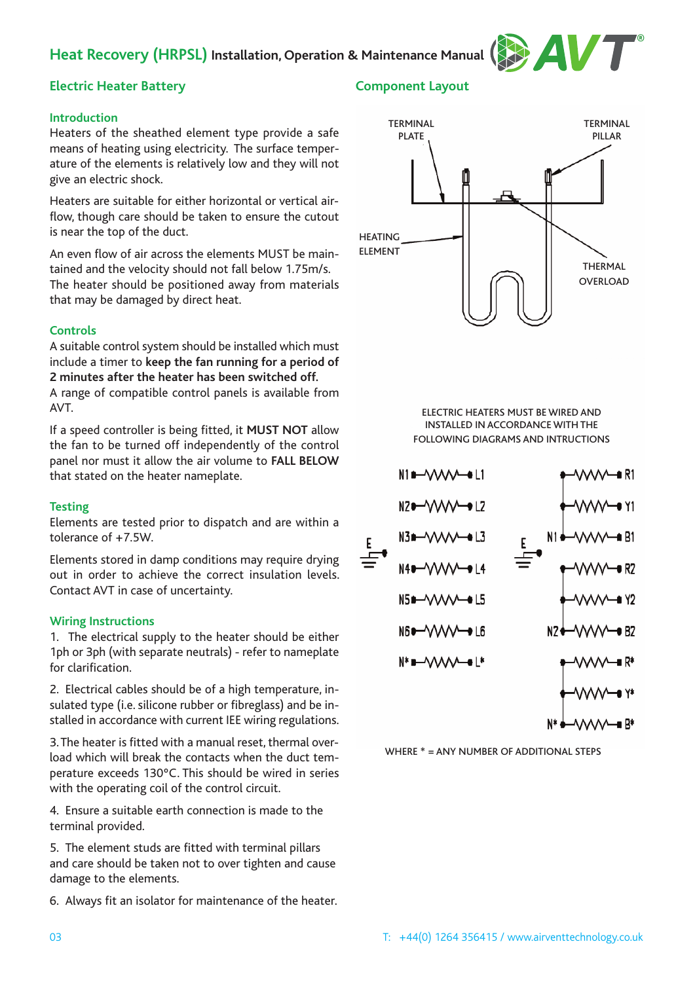### **Heat Recovery (HRPSL) Installation, Operation & Maintenance Manual**



### **Electric Heater Battery**

### **Introduction**

Heaters of the sheathed element type provide a safe means of heating using electricity. The surface temperature of the elements is relatively low and they will not give an electric shock.

Heaters are suitable for either horizontal or vertical airflow, though care should be taken to ensure the cutout is near the top of the duct.

An even flow of air across the elements MUST be maintained and the velocity should not fall below 1.75m/s. The heater should be positioned away from materials that may be damaged by direct heat.

### **Controls**

A suitable control system should be installed which must include a timer to **keep the fan running for a period of 2 minutes after the heater has been switched off.**

A range of compatible control panels is available from AVT.

If a speed controller is being fitted, it **MUST NOT** allow the fan to be turned off independently of the control panel nor must it allow the air volume to **FALL BELOW** that stated on the heater nameplate.

### **Testing**

Elements are tested prior to dispatch and are within a tolerance of +7.5W.

Elements stored in damp conditions may require drying out in order to achieve the correct insulation levels. Contact AVT in case of uncertainty.

### **Wiring Instructions**

1. The electrical supply to the heater should be either 1ph or 3ph (with separate neutrals) - refer to nameplate for clarification.

2. Electrical cables should be of a high temperature, insulated type (i.e. silicone rubber or fibreglass) and be installed in accordance with current IEE wiring regulations.

3. The heater is fitted with a manual reset, thermal overload which will break the contacts when the duct temperature exceeds 130ºC. This should be wired in series with the operating coil of the control circuit.

4. Ensure a suitable earth connection is made to the terminal provided.

5. The element studs are fitted with terminal pillars and care should be taken not to over tighten and cause damage to the elements.

6. Always fit an isolator for maintenance of the heater.

### **Component Layout**



ELECTRIC HEATERS MUST BE WIRED AND INSTALLED IN ACCORDANCE WITH THE FOLLOWING DIAGRAMS AND INTRUCTIONS